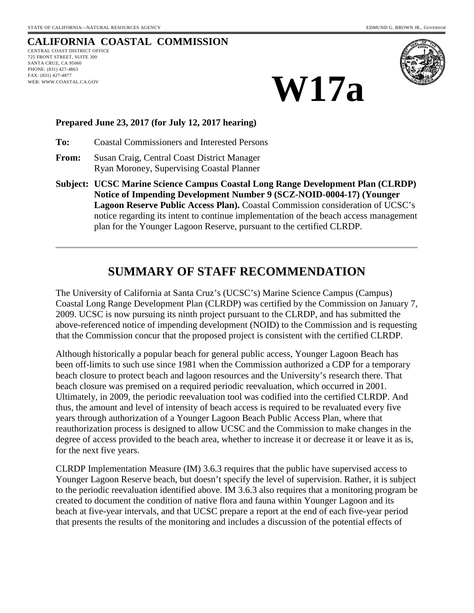# **CALIFORNIA COASTAL COMMISSION**

CENTRAL COAST DISTRICT OFFICE 725 FRONT STREET, SUITE 300 SANTA CRUZ, CA 95060 PHONE: (831) 427-4863 FAX: (831) 427-4877 WEB: WWW.COASTAL.CA.GOV



**W17a**

#### **Prepared June 23, 2017 (for July 12, 2017 hearing)**

**To:** Coastal Commissioners and Interested Persons

- **From:** Susan Craig, Central Coast District Manager Ryan Moroney, Supervising Coastal Planner
- **Subject: UCSC Marine Science Campus Coastal Long Range Development Plan (CLRDP) Notice of Impending Development Number 9 (SCZ-NOID-0004-17) (Younger Lagoon Reserve Public Access Plan).** Coastal Commission consideration of UCSC's notice regarding its intent to continue implementation of the beach access management plan for the Younger Lagoon Reserve, pursuant to the certified CLRDP.

# **SUMMARY OF STAFF RECOMMENDATION**

The University of California at Santa Cruz's (UCSC's) Marine Science Campus (Campus) Coastal Long Range Development Plan (CLRDP) was certified by the Commission on January 7, 2009. UCSC is now pursuing its ninth project pursuant to the CLRDP, and has submitted the above-referenced notice of impending development (NOID) to the Commission and is requesting that the Commission concur that the proposed project is consistent with the certified CLRDP.

Although historically a popular beach for general public access, Younger Lagoon Beach has been off-limits to such use since 1981 when the Commission authorized a CDP for a temporary beach closure to protect beach and lagoon resources and the University's research there. That beach closure was premised on a required periodic reevaluation, which occurred in 2001. Ultimately, in 2009, the periodic reevaluation tool was codified into the certified CLRDP. And thus, the amount and level of intensity of beach access is required to be revaluated every five years through authorization of a Younger Lagoon Beach Public Access Plan, where that reauthorization process is designed to allow UCSC and the Commission to make changes in the degree of access provided to the beach area, whether to increase it or decrease it or leave it as is, for the next five years.

CLRDP Implementation Measure (IM) 3.6.3 requires that the public have supervised access to Younger Lagoon Reserve beach, but doesn't specify the level of supervision. Rather, it is subject to the periodic reevaluation identified above. IM 3.6.3 also requires that a monitoring program be created to document the condition of native flora and fauna within Younger Lagoon and its beach at five-year intervals, and that UCSC prepare a report at the end of each five-year period that presents the results of the monitoring and includes a discussion of the potential effects of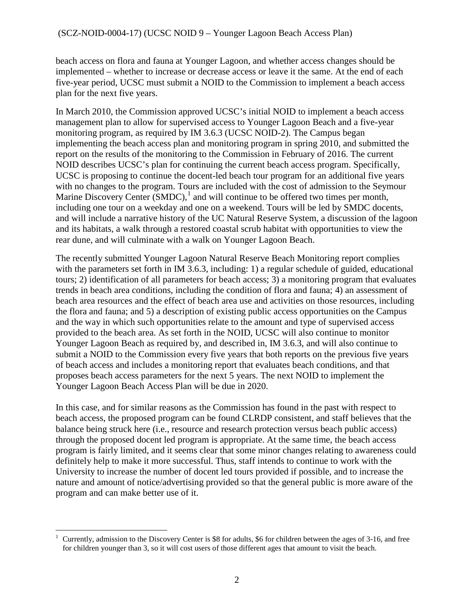beach access on flora and fauna at Younger Lagoon, and whether access changes should be implemented – whether to increase or decrease access or leave it the same. At the end of each five-year period, UCSC must submit a NOID to the Commission to implement a beach access plan for the next five years.

In March 2010, the Commission approved UCSC's initial NOID to implement a beach access management plan to allow for supervised access to Younger Lagoon Beach and a five-year monitoring program, as required by IM 3.6.3 (UCSC NOID-2). The Campus began implementing the beach access plan and monitoring program in spring 2010, and submitted the report on the results of the monitoring to the Commission in February of 2016. The current NOID describes UCSC's plan for continuing the current beach access program. Specifically, UCSC is proposing to continue the docent-led beach tour program for an additional five years with no changes to the program. Tours are included with the cost of admission to the Seymour Marine Discovery Center  $(SMDC)$ ,<sup>[1](#page-1-0)</sup> and will continue to be offered two times per month, including one tour on a weekday and one on a weekend. Tours will be led by SMDC docents, and will include a narrative history of the UC Natural Reserve System, a discussion of the lagoon and its habitats, a walk through a restored coastal scrub habitat with opportunities to view the rear dune, and will culminate with a walk on Younger Lagoon Beach.

The recently submitted Younger Lagoon Natural Reserve Beach Monitoring report complies with the parameters set forth in IM 3.6.3, including: 1) a regular schedule of guided, educational tours; 2) identification of all parameters for beach access; 3) a monitoring program that evaluates trends in beach area conditions, including the condition of flora and fauna; 4) an assessment of beach area resources and the effect of beach area use and activities on those resources, including the flora and fauna; and 5) a description of existing public access opportunities on the Campus and the way in which such opportunities relate to the amount and type of supervised access provided to the beach area. As set forth in the NOID, UCSC will also continue to monitor Younger Lagoon Beach as required by, and described in, IM 3.6.3, and will also continue to submit a NOID to the Commission every five years that both reports on the previous five years of beach access and includes a monitoring report that evaluates beach conditions, and that proposes beach access parameters for the next 5 years. The next NOID to implement the Younger Lagoon Beach Access Plan will be due in 2020.

In this case, and for similar reasons as the Commission has found in the past with respect to beach access, the proposed program can be found CLRDP consistent, and staff believes that the balance being struck here (i.e., resource and research protection versus beach public access) through the proposed docent led program is appropriate. At the same time, the beach access program is fairly limited, and it seems clear that some minor changes relating to awareness could definitely help to make it more successful. Thus, staff intends to continue to work with the University to increase the number of docent led tours provided if possible, and to increase the nature and amount of notice/advertising provided so that the general public is more aware of the program and can make better use of it.

<span id="page-1-0"></span> $\overline{a}$ 1 Currently, admission to the Discovery Center is \$8 for adults, \$6 for children between the ages of 3-16, and free for children younger than 3, so it will cost users of those different ages that amount to visit the beach.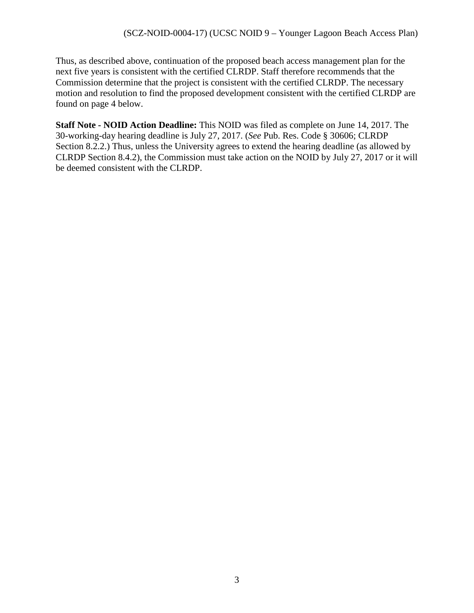Thus, as described above, continuation of the proposed beach access management plan for the next five years is consistent with the certified CLRDP. Staff therefore recommends that the Commission determine that the project is consistent with the certified CLRDP. The necessary motion and resolution to find the proposed development consistent with the certified CLRDP are found on page 4 below.

**Staff Note - NOID Action Deadline:** This NOID was filed as complete on June 14, 2017. The 30-working-day hearing deadline is July 27, 2017. (*See* Pub. Res. Code § 30606; CLRDP Section 8.2.2.) Thus, unless the University agrees to extend the hearing deadline (as allowed by CLRDP Section 8.4.2), the Commission must take action on the NOID by July 27, 2017 or it will be deemed consistent with the CLRDP.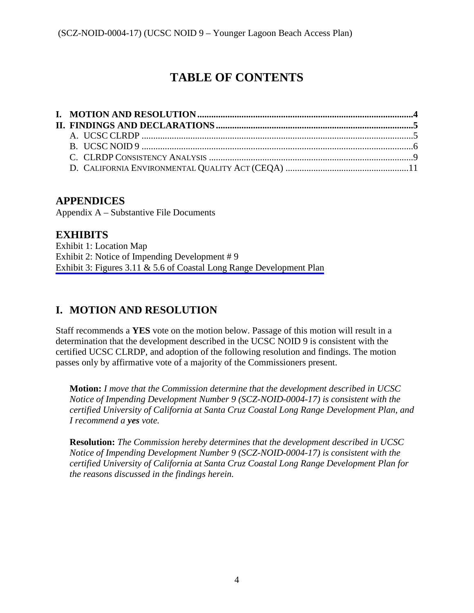# **TABLE OF CONTENTS**

# **APPENDICES**

Appendix A – Substantive File Documents

# **EXHIBITS**

Exhibit 1: Location Map Exhibit 2: Notice of Impending Development # 9 [Exhibit 3: Figures 3.11 & 5.6 of Coastal Long Range Development Plan](https://documents.coastal.ca.gov/reports/2017/7/W17a/W17a-7-2017-exhibits.pdf)

# <span id="page-3-0"></span>**I. MOTION AND RESOLUTION**

Staff recommends a **YES** vote on the motion below. Passage of this motion will result in a determination that the development described in the UCSC NOID 9 is consistent with the certified UCSC CLRDP, and adoption of the following resolution and findings. The motion passes only by affirmative vote of a majority of the Commissioners present.

**Motion:** *I move that the Commission determine that the development described in UCSC Notice of Impending Development Number 9 (SCZ-NOID-0004-17) is consistent with the certified University of California at Santa Cruz Coastal Long Range Development Plan, and I recommend a yes vote.* 

**Resolution:** *The Commission hereby determines that the development described in UCSC Notice of Impending Development Number 9 (SCZ-NOID-0004-17) is consistent with the certified University of California at Santa Cruz Coastal Long Range Development Plan for the reasons discussed in the findings herein.*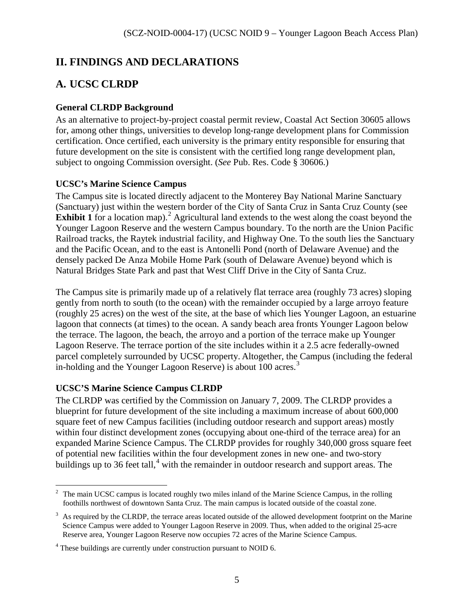# <span id="page-4-0"></span>**II. FINDINGS AND DECLARATIONS**

# <span id="page-4-1"></span>**A. UCSC CLRDP**

### **General CLRDP Background**

As an alternative to project-by-project coastal permit review, Coastal Act Section 30605 allows for, among other things, universities to develop long-range development plans for Commission certification. Once certified, each university is the primary entity responsible for ensuring that future development on the site is consistent with the certified long range development plan, subject to ongoing Commission oversight. (*See* Pub. Res. Code § 30606.)

### **UCSC's Marine Science Campus**

The Campus site is located directly adjacent to the Monterey Bay National Marine Sanctuary (Sanctuary) just within the western border of the City of Santa Cruz in Santa Cruz County (see **Exhibit 1** for a location map).<sup>[2](#page-4-2)</sup> Agricultural land extends to the west along the coast beyond the Younger Lagoon Reserve and the western Campus boundary. To the north are the Union Pacific Railroad tracks, the Raytek industrial facility, and Highway One. To the south lies the Sanctuary and the Pacific Ocean, and to the east is Antonelli Pond (north of Delaware Avenue) and the densely packed De Anza Mobile Home Park (south of Delaware Avenue) beyond which is Natural Bridges State Park and past that West Cliff Drive in the City of Santa Cruz.

The Campus site is primarily made up of a relatively flat terrace area (roughly 73 acres) sloping gently from north to south (to the ocean) with the remainder occupied by a large arroyo feature (roughly 25 acres) on the west of the site, at the base of which lies Younger Lagoon, an estuarine lagoon that connects (at times) to the ocean. A sandy beach area fronts Younger Lagoon below the terrace. The lagoon, the beach, the arroyo and a portion of the terrace make up Younger Lagoon Reserve. The terrace portion of the site includes within it a 2.5 acre federally-owned parcel completely surrounded by UCSC property. Altogether, the Campus (including the federal in-holding and the Younger Lagoon Reserve) is about 100 acres.<sup>[3](#page-4-3)</sup>

### **UCSC'S Marine Science Campus CLRDP**

The CLRDP was certified by the Commission on January 7, 2009. The CLRDP provides a blueprint for future development of the site including a maximum increase of about 600,000 square feet of new Campus facilities (including outdoor research and support areas) mostly within four distinct development zones (occupying about one-third of the terrace area) for an expanded Marine Science Campus. The CLRDP provides for roughly 340,000 gross square feet of potential new facilities within the four development zones in new one- and two-story buildings up to 36 feet tall,<sup>[4](#page-4-4)</sup> with the remainder in outdoor research and support areas. The

<span id="page-4-2"></span><sup>&</sup>lt;sup>2</sup> The main UCSC campus is located roughly two miles inland of the Marine Science Campus, in the rolling foothills northwest of downtown Santa Cruz. The main campus is located outside of the coastal zone.

<span id="page-4-3"></span> $3$  As required by the CLRDP, the terrace areas located outside of the allowed development footprint on the Marine Science Campus were added to Younger Lagoon Reserve in 2009. Thus, when added to the original 25-acre Reserve area, Younger Lagoon Reserve now occupies 72 acres of the Marine Science Campus.

<span id="page-4-4"></span><sup>&</sup>lt;sup>4</sup> These buildings are currently under construction pursuant to NOID 6.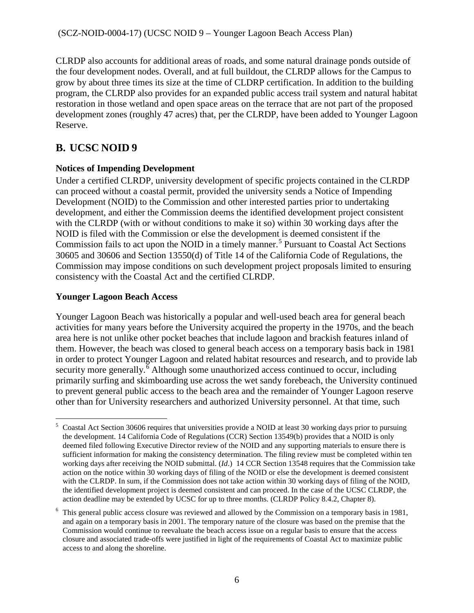CLRDP also accounts for additional areas of roads, and some natural drainage ponds outside of the four development nodes. Overall, and at full buildout, the CLRDP allows for the Campus to grow by about three times its size at the time of CLDRP certification. In addition to the building program, the CLRDP also provides for an expanded public access trail system and natural habitat restoration in those wetland and open space areas on the terrace that are not part of the proposed development zones (roughly 47 acres) that, per the CLRDP, have been added to Younger Lagoon Reserve.

# <span id="page-5-0"></span>**B. UCSC NOID 9**

### **Notices of Impending Development**

Under a certified CLRDP, university development of specific projects contained in the CLRDP can proceed without a coastal permit, provided the university sends a Notice of Impending Development (NOID) to the Commission and other interested parties prior to undertaking development, and either the Commission deems the identified development project consistent with the CLRDP (with or without conditions to make it so) within 30 working days after the NOID is filed with the Commission or else the development is deemed consistent if the Commission fails to act upon the NOID in a timely manner.<sup>[5](#page-5-1)</sup> Pursuant to Coastal Act Sections 30605 and 30606 and Section 13550(d) of Title 14 of the California Code of Regulations, the Commission may impose conditions on such development project proposals limited to ensuring consistency with the Coastal Act and the certified CLRDP.

### **Younger Lagoon Beach Access**

Younger Lagoon Beach was historically a popular and well-used beach area for general beach activities for many years before the University acquired the property in the 1970s, and the beach area here is not unlike other pocket beaches that include lagoon and brackish features inland of them. However, the beach was closed to general beach access on a temporary basis back in 1981 in order to protect Younger Lagoon and related habitat resources and research, and to provide lab security more generally.<sup> $\bar{6}$  $\bar{6}$  $\bar{6}$ </sup> Although some unauthorized access continued to occur, including primarily surfing and skimboarding use across the wet sandy forebeach, the University continued to prevent general public access to the beach area and the remainder of Younger Lagoon reserve other than for University researchers and authorized University personnel. At that time, such

<span id="page-5-1"></span><sup>&</sup>lt;sup>5</sup> Coastal Act Section 30606 requires that universities provide a NOID at least 30 working days prior to pursuing the development. 14 California Code of Regulations (CCR) Section 13549(b) provides that a NOID is only deemed filed following Executive Director review of the NOID and any supporting materials to ensure there is sufficient information for making the consistency determination. The filing review must be completed within ten working days after receiving the NOID submittal. (*Id*.) 14 CCR Section 13548 requires that the Commission take action on the notice within 30 working days of filing of the NOID or else the development is deemed consistent with the CLRDP. In sum, if the Commission does not take action within 30 working days of filing of the NOID, the identified development project is deemed consistent and can proceed. In the case of the UCSC CLRDP, the action deadline may be extended by UCSC for up to three months. (CLRDP Policy 8.4.2, Chapter 8).

<span id="page-5-2"></span><sup>&</sup>lt;sup>6</sup> This general public access closure was reviewed and allowed by the Commission on a temporary basis in 1981, and again on a temporary basis in 2001. The temporary nature of the closure was based on the premise that the Commission would continue to reevaluate the beach access issue on a regular basis to ensure that the access closure and associated trade-offs were justified in light of the requirements of Coastal Act to maximize public access to and along the shoreline.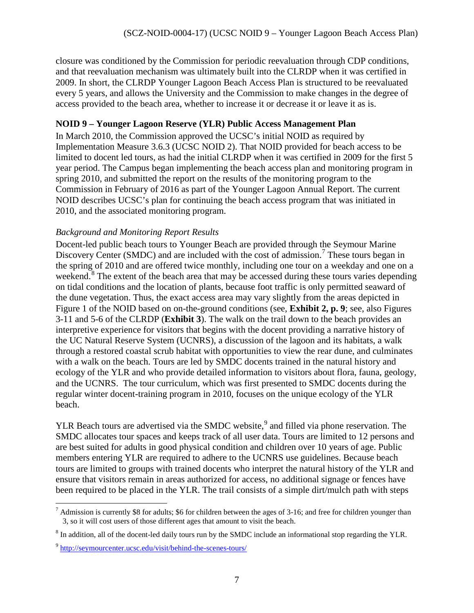closure was conditioned by the Commission for periodic reevaluation through CDP conditions, and that reevaluation mechanism was ultimately built into the CLRDP when it was certified in 2009. In short, the CLRDP Younger Lagoon Beach Access Plan is structured to be reevaluated every 5 years, and allows the University and the Commission to make changes in the degree of access provided to the beach area, whether to increase it or decrease it or leave it as is.

### **NOID 9 – Younger Lagoon Reserve (YLR) Public Access Management Plan**

In March 2010, the Commission approved the UCSC's initial NOID as required by Implementation Measure 3.6.3 (UCSC NOID 2). That NOID provided for beach access to be limited to docent led tours, as had the initial CLRDP when it was certified in 2009 for the first 5 year period. The Campus began implementing the beach access plan and monitoring program in spring 2010, and submitted the report on the results of the monitoring program to the Commission in February of 2016 as part of the Younger Lagoon Annual Report. The current NOID describes UCSC's plan for continuing the beach access program that was initiated in 2010, and the associated monitoring program.

### *Background and Monitoring Report Results*

Docent-led public beach tours to Younger Beach are provided through the Seymour Marine Discovery Center (SMDC) and are included with the cost of admission.<sup>[7](#page-6-0)</sup> These tours began in the spring of 2010 and are offered twice monthly, including one tour on a weekday and one on a weekend.<sup>[8](#page-6-1)</sup> The extent of the beach area that may be accessed during these tours varies depending on tidal conditions and the location of plants, because foot traffic is only permitted seaward of the dune vegetation. Thus, the exact access area may vary slightly from the areas depicted in Figure 1 of the NOID based on on-the-ground conditions (see, **Exhibit 2, p. 9**; see, also Figures 3-11 and 5-6 of the CLRDP (**Exhibit 3**). The walk on the trail down to the beach provides an interpretive experience for visitors that begins with the docent providing a narrative history of the UC Natural Reserve System (UCNRS), a discussion of the lagoon and its habitats, a walk through a restored coastal scrub habitat with opportunities to view the rear dune, and culminates with a walk on the beach. Tours are led by SMDC docents trained in the natural history and ecology of the YLR and who provide detailed information to visitors about flora, fauna, geology, and the UCNRS. The tour curriculum, which was first presented to SMDC docents during the regular winter docent-training program in 2010, focuses on the unique ecology of the YLR beach.

YLR Beach tours are advertised via the SMDC website,<sup>[9](#page-6-2)</sup> and filled via phone reservation. The SMDC allocates tour spaces and keeps track of all user data. Tours are limited to 12 persons and are best suited for adults in good physical condition and children over 10 years of age. Public members entering YLR are required to adhere to the UCNRS use guidelines. Because beach tours are limited to groups with trained docents who interpret the natural history of the YLR and ensure that visitors remain in areas authorized for access, no additional signage or fences have been required to be placed in the YLR. The trail consists of a simple dirt/mulch path with steps

<span id="page-6-0"></span> $\overline{a}$  $<sup>7</sup>$  Admission is currently \$8 for adults; \$6 for children between the ages of 3-16; and free for children younger than</sup> 3, so it will cost users of those different ages that amount to visit the beach.

<span id="page-6-1"></span> $8$  In addition, all of the docent-led daily tours run by the SMDC include an informational stop regarding the YLR.

<span id="page-6-2"></span><sup>9</sup> <http://seymourcenter.ucsc.edu/visit/behind-the-scenes-tours/>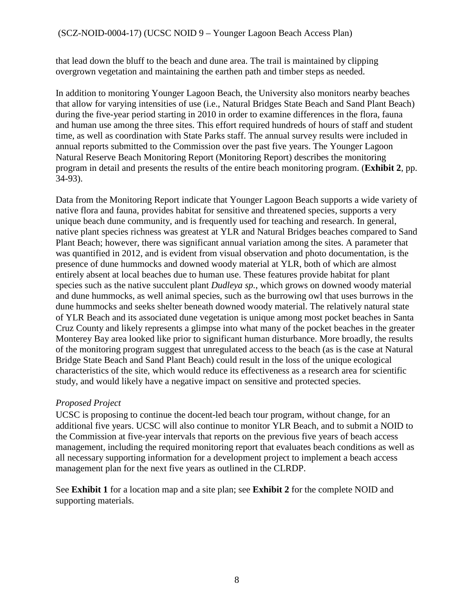that lead down the bluff to the beach and dune area. The trail is maintained by clipping overgrown vegetation and maintaining the earthen path and timber steps as needed.

In addition to monitoring Younger Lagoon Beach, the University also monitors nearby beaches that allow for varying intensities of use (i.e., Natural Bridges State Beach and Sand Plant Beach) during the five-year period starting in 2010 in order to examine differences in the flora, fauna and human use among the three sites. This effort required hundreds of hours of staff and student time, as well as coordination with State Parks staff. The annual survey results were included in annual reports submitted to the Commission over the past five years. The Younger Lagoon Natural Reserve Beach Monitoring Report (Monitoring Report) describes the monitoring program in detail and presents the results of the entire beach monitoring program. (**Exhibit 2**, pp. 34-93).

Data from the Monitoring Report indicate that Younger Lagoon Beach supports a wide variety of native flora and fauna, provides habitat for sensitive and threatened species, supports a very unique beach dune community, and is frequently used for teaching and research. In general, native plant species richness was greatest at YLR and Natural Bridges beaches compared to Sand Plant Beach; however, there was significant annual variation among the sites. A parameter that was quantified in 2012, and is evident from visual observation and photo documentation, is the presence of dune hummocks and downed woody material at YLR, both of which are almost entirely absent at local beaches due to human use. These features provide habitat for plant species such as the native succulent plant *Dudleya sp.*, which grows on downed woody material and dune hummocks, as well animal species, such as the burrowing owl that uses burrows in the dune hummocks and seeks shelter beneath downed woody material. The relatively natural state of YLR Beach and its associated dune vegetation is unique among most pocket beaches in Santa Cruz County and likely represents a glimpse into what many of the pocket beaches in the greater Monterey Bay area looked like prior to significant human disturbance. More broadly, the results of the monitoring program suggest that unregulated access to the beach (as is the case at Natural Bridge State Beach and Sand Plant Beach) could result in the loss of the unique ecological characteristics of the site, which would reduce its effectiveness as a research area for scientific study, and would likely have a negative impact on sensitive and protected species.

### *Proposed Project*

UCSC is proposing to continue the docent-led beach tour program, without change, for an additional five years. UCSC will also continue to monitor YLR Beach, and to submit a NOID to the Commission at five-year intervals that reports on the previous five years of beach access management, including the required monitoring report that evaluates beach conditions as well as all necessary supporting information for a development project to implement a beach access management plan for the next five years as outlined in the CLRDP.

See **Exhibit 1** for a location map and a site plan; see **Exhibit 2** for the complete NOID and supporting materials.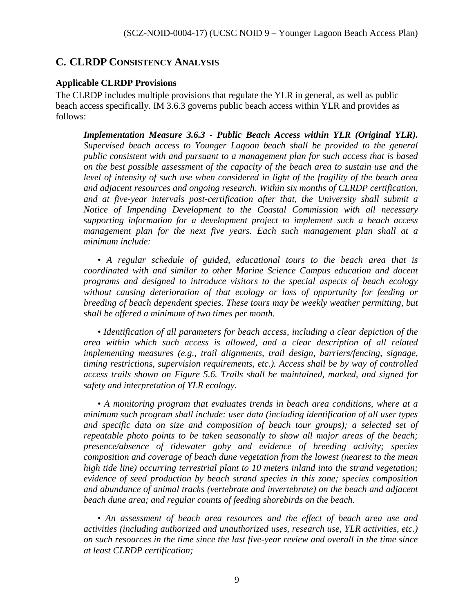### <span id="page-8-0"></span>**C. CLRDP CONSISTENCY ANALYSIS**

#### **Applicable CLRDP Provisions**

The CLRDP includes multiple provisions that regulate the YLR in general, as well as public beach access specifically. IM 3.6.3 governs public beach access within YLR and provides as follows:

*Implementation Measure 3.6.3 - Public Beach Access within YLR (Original YLR). Supervised beach access to Younger Lagoon beach shall be provided to the general public consistent with and pursuant to a management plan for such access that is based on the best possible assessment of the capacity of the beach area to sustain use and the* level of intensity of such use when considered in light of the fragility of the beach area *and adjacent resources and ongoing research. Within six months of CLRDP certification, and at five-year intervals post-certification after that, the University shall submit a Notice of Impending Development to the Coastal Commission with all necessary supporting information for a development project to implement such a beach access management plan for the next five years. Each such management plan shall at a minimum include:* 

*• A regular schedule of guided, educational tours to the beach area that is coordinated with and similar to other Marine Science Campus education and docent programs and designed to introduce visitors to the special aspects of beach ecology without causing deterioration of that ecology or loss of opportunity for feeding or breeding of beach dependent species. These tours may be weekly weather permitting, but shall be offered a minimum of two times per month.* 

*• Identification of all parameters for beach access, including a clear depiction of the area within which such access is allowed, and a clear description of all related implementing measures (e.g., trail alignments, trail design, barriers/fencing, signage, timing restrictions, supervision requirements, etc.). Access shall be by way of controlled access trails shown on Figure 5.6. Trails shall be maintained, marked, and signed for safety and interpretation of YLR ecology.*

*• A monitoring program that evaluates trends in beach area conditions, where at a minimum such program shall include: user data (including identification of all user types and specific data on size and composition of beach tour groups); a selected set of repeatable photo points to be taken seasonally to show all major areas of the beach; presence/absence of tidewater goby and evidence of breeding activity; species composition and coverage of beach dune vegetation from the lowest (nearest to the mean high tide line) occurring terrestrial plant to 10 meters inland into the strand vegetation; evidence of seed production by beach strand species in this zone; species composition and abundance of animal tracks (vertebrate and invertebrate) on the beach and adjacent beach dune area; and regular counts of feeding shorebirds on the beach.* 

*• An assessment of beach area resources and the effect of beach area use and activities (including authorized and unauthorized uses, research use, YLR activities, etc.) on such resources in the time since the last five-year review and overall in the time since at least CLRDP certification;*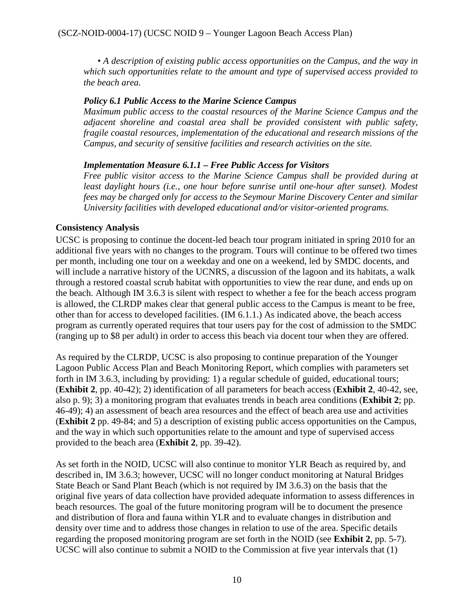*• A description of existing public access opportunities on the Campus, and the way in which such opportunities relate to the amount and type of supervised access provided to the beach area.* 

#### *Policy 6.1 Public Access to the Marine Science Campus*

*Maximum public access to the coastal resources of the Marine Science Campus and the adjacent shoreline and coastal area shall be provided consistent with public safety, fragile coastal resources, implementation of the educational and research missions of the Campus, and security of sensitive facilities and research activities on the site.*

#### *Implementation Measure 6.1.1 – Free Public Access for Visitors*

*Free public visitor access to the Marine Science Campus shall be provided during at least daylight hours (i.e., one hour before sunrise until one-hour after sunset). Modest fees may be charged only for access to the Seymour Marine Discovery Center and similar University facilities with developed educational and/or visitor-oriented programs.* 

#### **Consistency Analysis**

UCSC is proposing to continue the docent-led beach tour program initiated in spring 2010 for an additional five years with no changes to the program. Tours will continue to be offered two times per month, including one tour on a weekday and one on a weekend, led by SMDC docents, and will include a narrative history of the UCNRS, a discussion of the lagoon and its habitats, a walk through a restored coastal scrub habitat with opportunities to view the rear dune, and ends up on the beach. Although IM 3.6.3 is silent with respect to whether a fee for the beach access program is allowed, the CLRDP makes clear that general public access to the Campus is meant to be free, other than for access to developed facilities. (IM 6.1.1.) As indicated above, the beach access program as currently operated requires that tour users pay for the cost of admission to the SMDC (ranging up to \$8 per adult) in order to access this beach via docent tour when they are offered.

As required by the CLRDP, UCSC is also proposing to continue preparation of the Younger Lagoon Public Access Plan and Beach Monitoring Report, which complies with parameters set forth in IM 3.6.3, including by providing: 1) a regular schedule of guided, educational tours; (**Exhibit 2**, pp. 40-42); 2) identification of all parameters for beach access (**Exhibit 2**, 40-42, see, also p. 9); 3) a monitoring program that evaluates trends in beach area conditions (**Exhibit 2**; pp. 46-49); 4) an assessment of beach area resources and the effect of beach area use and activities (**Exhibit 2** pp. 49-84; and 5) a description of existing public access opportunities on the Campus, and the way in which such opportunities relate to the amount and type of supervised access provided to the beach area (**Exhibit 2**, pp. 39-42).

As set forth in the NOID, UCSC will also continue to monitor YLR Beach as required by, and described in, IM 3.6.3; however, UCSC will no longer conduct monitoring at Natural Bridges State Beach or Sand Plant Beach (which is not required by IM 3.6.3) on the basis that the original five years of data collection have provided adequate information to assess differences in beach resources. The goal of the future monitoring program will be to document the presence and distribution of flora and fauna within YLR and to evaluate changes in distribution and density over time and to address those changes in relation to use of the area. Specific details regarding the proposed monitoring program are set forth in the NOID (see **Exhibit 2**, pp. 5-7). UCSC will also continue to submit a NOID to the Commission at five year intervals that (1)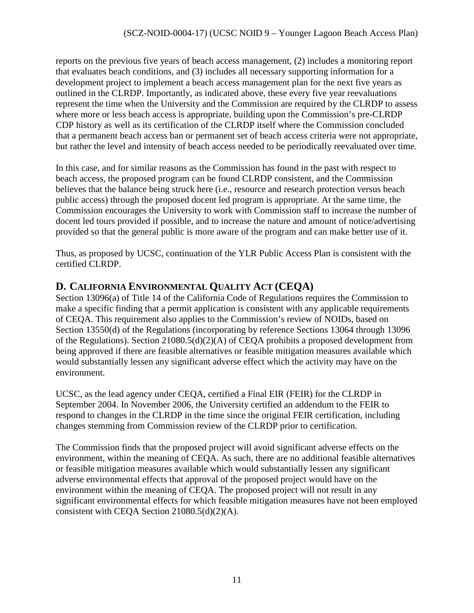reports on the previous five years of beach access management, (2) includes a monitoring report that evaluates beach conditions, and (3) includes all necessary supporting information for a development project to implement a beach access management plan for the next five years as outlined in the CLRDP. Importantly, as indicated above, these every five year reevaluations represent the time when the University and the Commission are required by the CLRDP to assess where more or less beach access is appropriate, building upon the Commission's pre-CLRDP CDP history as well as its certification of the CLRDP itself where the Commission concluded that a permanent beach access ban or permanent set of beach access criteria were not appropriate, but rather the level and intensity of beach access needed to be periodically reevaluated over time.

In this case, and for similar reasons as the Commission has found in the past with respect to beach access, the proposed program can be found CLRDP consistent, and the Commission believes that the balance being struck here (i.e., resource and research protection versus beach public access) through the proposed docent led program is appropriate. At the same time, the Commission encourages the University to work with Commission staff to increase the number of docent led tours provided if possible, and to increase the nature and amount of notice/advertising provided so that the general public is more aware of the program and can make better use of it.

Thus, as proposed by UCSC, continuation of the YLR Public Access Plan is consistent with the certified CLRDP.

# <span id="page-10-0"></span>**D. CALIFORNIA ENVIRONMENTAL QUALITY ACT (CEQA)**

Section 13096(a) of Title 14 of the California Code of Regulations requires the Commission to make a specific finding that a permit application is consistent with any applicable requirements of CEQA. This requirement also applies to the Commission's review of NOIDs, based on Section 13550(d) of the Regulations (incorporating by reference Sections 13064 through 13096 of the Regulations). Section 21080.5(d)(2)(A) of CEQA prohibits a proposed development from being approved if there are feasible alternatives or feasible mitigation measures available which would substantially lessen any significant adverse effect which the activity may have on the environment.

UCSC, as the lead agency under CEQA, certified a Final EIR (FEIR) for the CLRDP in September 2004. In November 2006, the University certified an addendum to the FEIR to respond to changes in the CLRDP in the time since the original FEIR certification, including changes stemming from Commission review of the CLRDP prior to certification.

The Commission finds that the proposed project will avoid significant adverse effects on the environment, within the meaning of CEQA. As such, there are no additional feasible alternatives or feasible mitigation measures available which would substantially lessen any significant adverse environmental effects that approval of the proposed project would have on the environment within the meaning of CEQA. The proposed project will not result in any significant environmental effects for which feasible mitigation measures have not been employed consistent with CEQA Section 21080.5(d)(2)(A).